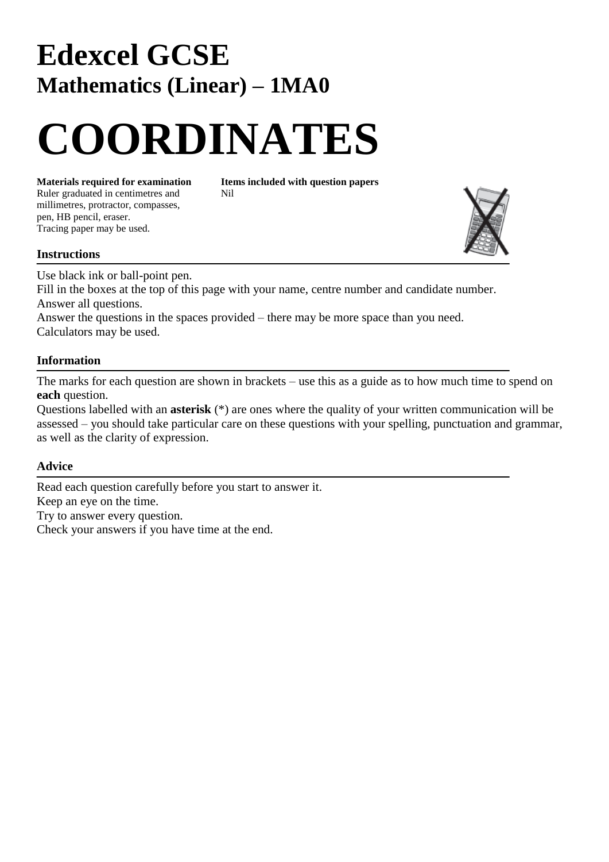## **Edexcel GCSE Mathematics (Linear) – 1MA0**

# **COORDINATES**

Ruler graduated in centimetres and Nil millimetres, protractor, compasses, pen, HB pencil, eraser. Tracing paper may be used.

**Materials required for examination Items included with question papers**



#### **Instructions**

Use black ink or ball-point pen.

Fill in the boxes at the top of this page with your name, centre number and candidate number. Answer all questions.

Answer the questions in the spaces provided – there may be more space than you need. Calculators may be used.

### **Information**

The marks for each question are shown in brackets – use this as a guide as to how much time to spend on **each** question.

Questions labelled with an **asterisk** (\*) are ones where the quality of your written communication will be assessed – you should take particular care on these questions with your spelling, punctuation and grammar, as well as the clarity of expression.

#### **Advice**

Read each question carefully before you start to answer it. Keep an eye on the time. Try to answer every question. Check your answers if you have time at the end.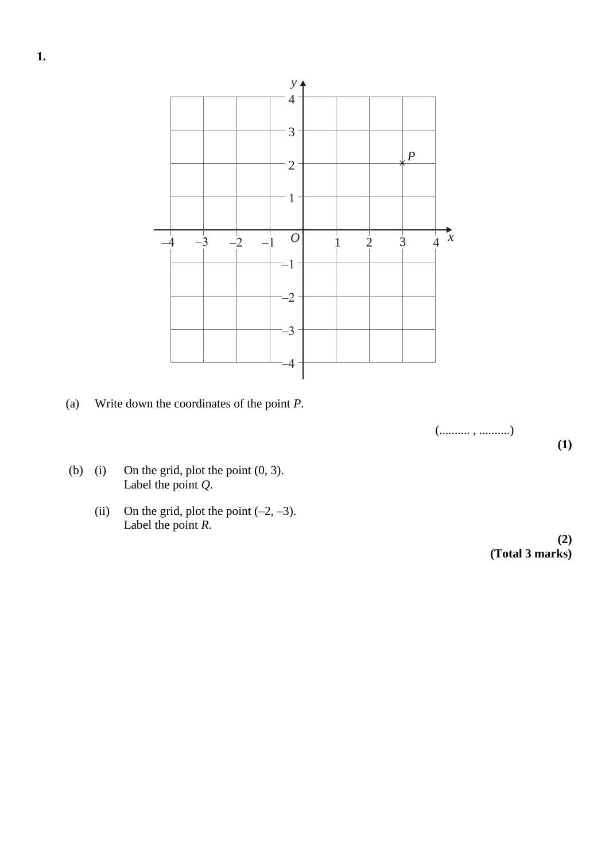

(a) Write down the coordinates of the point *P*.

(.......... , ..........)

**(1)**

- (b) (i) On the grid, plot the point  $(0, 3)$ . Label the point *Q*.
	- (ii) On the grid, plot the point  $(-2, -3)$ . Label the point *R*.

**(2) (Total 3 marks)**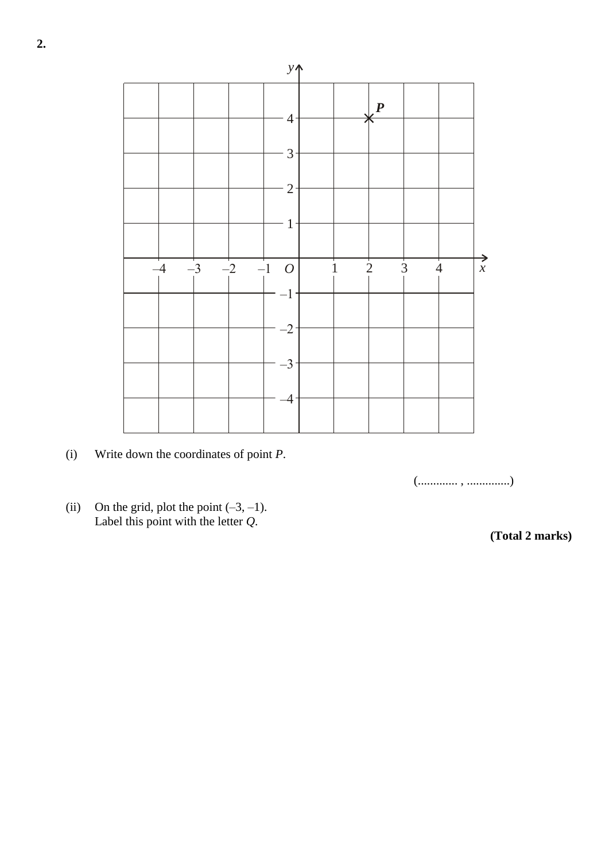

(i) Write down the coordinates of point *P*.

(............. , ..............)

(ii) On the grid, plot the point  $(-3, -1)$ . Label this point with the letter *Q*.

**(Total 2 marks)**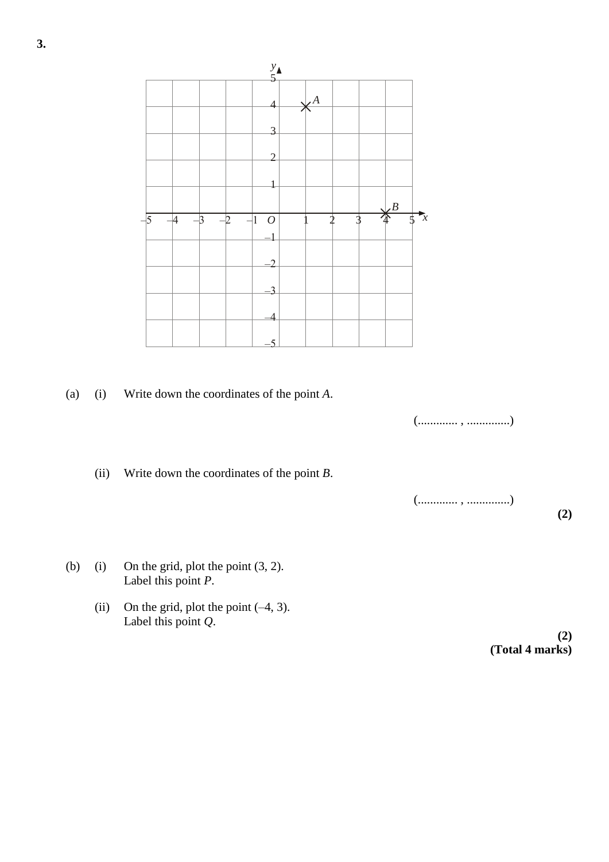

(a) (i) Write down the coordinates of the point *A*.

(............. , ..............)

(ii) Write down the coordinates of the point *B*.

(............. , ..............)

**(2)**

- (b) (i) On the grid, plot the point  $(3, 2)$ . Label this point *P*.
	- (ii) On the grid, plot the point  $(-4, 3)$ . Label this point *Q*.

**(2) (Total 4 marks)**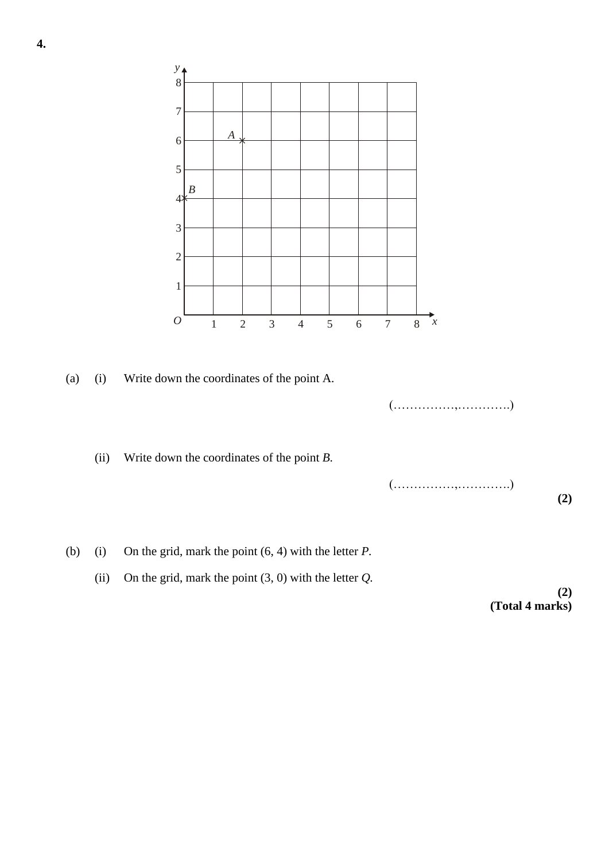

(ii) On the grid, mark the point  $(3, 0)$  with the letter  $Q$ .

**(2) (Total 4 marks)**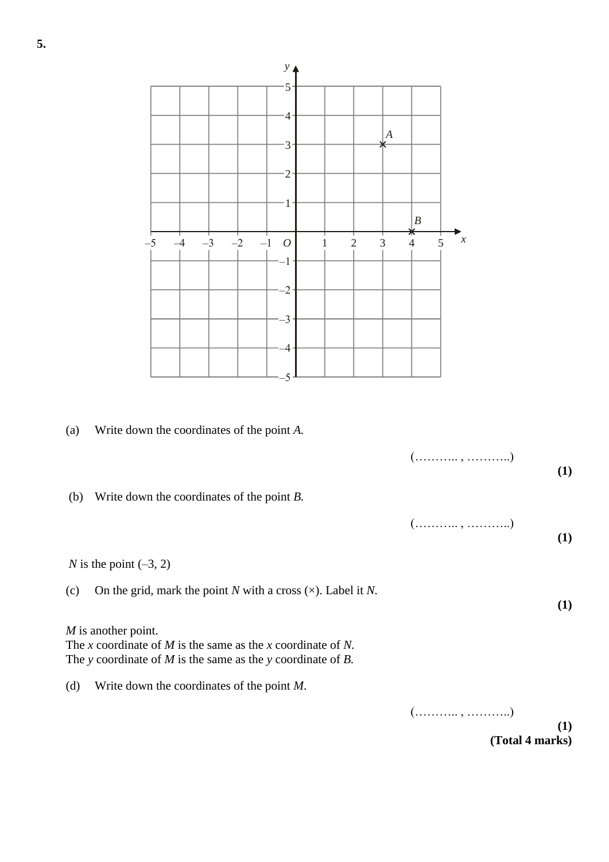

**5.**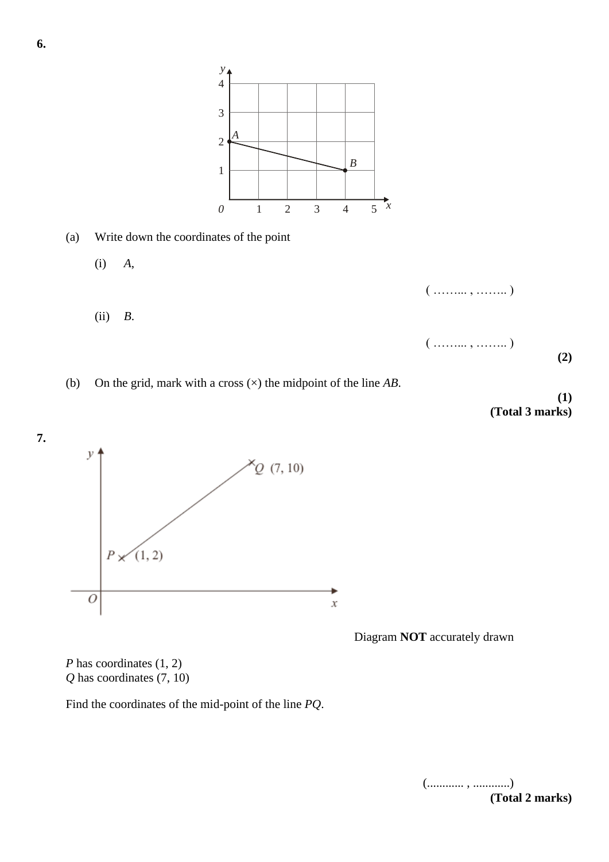

(b) On the grid, mark with a cross (×) the midpoint of the line *AB*.

*y* 4

**(1) (Total 3 marks)**



Diagram **NOT** accurately drawn

*P* has coordinates  $(1, 2)$ *Q* has coordinates (7, 10)

Find the coordinates of the mid-point of the line *PQ*.

(............ , ............) **(Total 2 marks)**